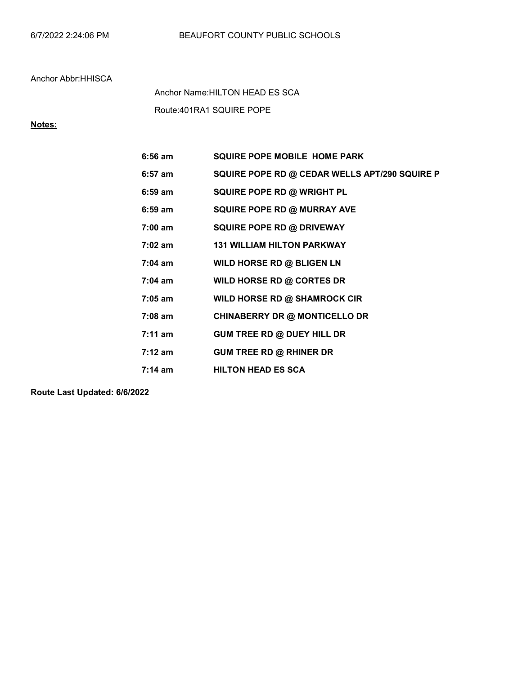Route:401RA1 SQUIRE POPE Anchor Name:HILTON HEAD ES SCA

# Notes:

| $6:56$ am         | <b>SQUIRE POPE MOBILE HOME PARK</b>           |
|-------------------|-----------------------------------------------|
| $6:57$ am         | SQUIRE POPE RD @ CEDAR WELLS APT/290 SQUIRE P |
| $6:59$ am         | SQUIRE POPE RD @ WRIGHT PL                    |
| $6:59$ am         | <b>SQUIRE POPE RD @ MURRAY AVE</b>            |
| $7:00$ am         | <b>SQUIRE POPE RD @ DRIVEWAY</b>              |
| $7:02 \text{ am}$ | <b>131 WILLIAM HILTON PARKWAY</b>             |
| $7:04$ am         | WILD HORSE RD @ BLIGEN LN                     |
| $7:04$ am         | WILD HORSE RD @ CORTES DR                     |
| $7:05$ am         | WILD HORSE RD @ SHAMROCK CIR                  |
| $7:08$ am         | <b>CHINABERRY DR @ MONTICELLO DR</b>          |
| $7:11 \text{ am}$ | GUM TREE RD @ DUEY HILL DR                    |
| $7:12 \text{ am}$ | <b>GUM TREE RD @ RHINER DR</b>                |
| $7:14 \text{ am}$ | <b>HILTON HEAD ES SCA</b>                     |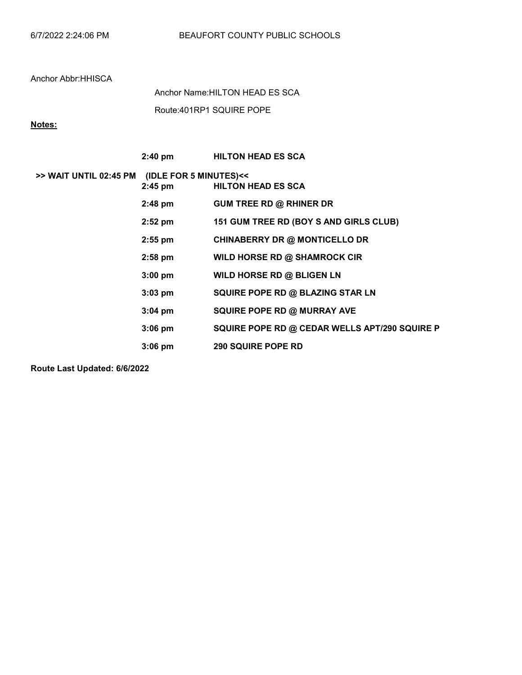Route:401RP1 SQUIRE POPE Anchor Name:HILTON HEAD ES SCA

## Notes:

|                        | $2:40$ pm                           | <b>HILTON HEAD ES SCA</b>                     |
|------------------------|-------------------------------------|-----------------------------------------------|
| >> WAIT UNTIL 02:45 PM | (IDLE FOR 5 MINUTES)<<<br>$2:45$ pm | <b>HILTON HEAD ES SCA</b>                     |
|                        | $2:48$ pm                           | <b>GUM TREE RD @ RHINER DR</b>                |
|                        | $2:52$ pm                           | 151 GUM TREE RD (BOY S AND GIRLS CLUB)        |
|                        | $2:55$ pm                           | <b>CHINABERRY DR @ MONTICELLO DR</b>          |
|                        | $2:58$ pm                           | WILD HORSE RD @ SHAMROCK CIR                  |
|                        | $3:00$ pm                           | WILD HORSE RD @ BLIGEN LN                     |
|                        | $3:03$ pm                           | SQUIRE POPE RD @ BLAZING STAR LN              |
|                        | $3:04$ pm                           | <b>SQUIRE POPE RD @ MURRAY AVE</b>            |
|                        | $3:06$ pm                           | SQUIRE POPE RD @ CEDAR WELLS APT/290 SQUIRE P |
|                        | $3:06$ pm                           | <b>290 SQUIRE POPE RD</b>                     |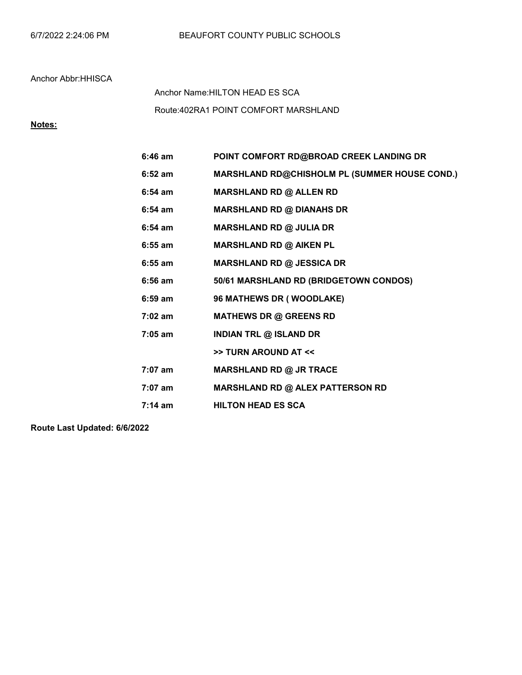Route:402RA1 POINT COMFORT MARSHLAND Anchor Name:HILTON HEAD ES SCA

## Notes:

| $6:46$ am | POINT COMFORT RD@BROAD CREEK LANDING DR              |
|-----------|------------------------------------------------------|
| $6:52$ am | <b>MARSHLAND RD@CHISHOLM PL (SUMMER HOUSE COND.)</b> |
| $6:54$ am | <b>MARSHLAND RD @ ALLEN RD</b>                       |
| $6:54$ am | <b>MARSHLAND RD @ DIANAHS DR</b>                     |
| $6:54$ am | MARSHLAND RD @ JULIA DR                              |
| $6:55$ am | <b>MARSHLAND RD @ AIKEN PL</b>                       |
| $6:55$ am | <b>MARSHLAND RD @ JESSICA DR</b>                     |
| $6:56$ am | 50/61 MARSHLAND RD (BRIDGETOWN CONDOS)               |
| 6:59 am   | 96 MATHEWS DR (WOODLAKE)                             |
| $7:02$ am | <b>MATHEWS DR @ GREENS RD</b>                        |
| 7:05 am   | <b>INDIAN TRL @ ISLAND DR</b>                        |
|           | >> TURN AROUND AT <<                                 |
| 7:07 am   | MARSHLAND RD @ JR TRACE                              |
| $7:07$ am | <b>MARSHLAND RD @ ALEX PATTERSON RD</b>              |
| 7:14 am   | <b>HILTON HEAD ES SCA</b>                            |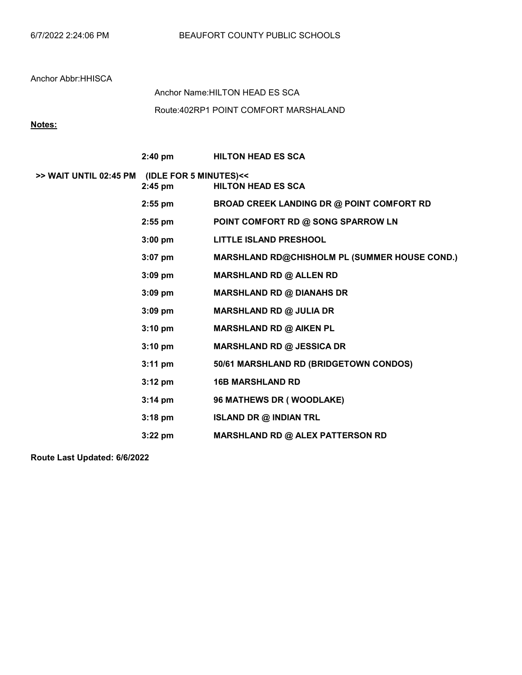Route:402RP1 POINT COMFORT MARSHALAND Anchor Name:HILTON HEAD ES SCA

## Notes:

|                                               | $2:40 \text{ pm}$ | <b>HILTON HEAD ES SCA</b>                        |
|-----------------------------------------------|-------------------|--------------------------------------------------|
| >> WAIT UNTIL 02:45 PM (IDLE FOR 5 MINUTES)<< | $2:45$ pm         | <b>HILTON HEAD ES SCA</b>                        |
|                                               | $2:55$ pm         | <b>BROAD CREEK LANDING DR @ POINT COMFORT RD</b> |
|                                               | $2:55$ pm         | POINT COMFORT RD @ SONG SPARROW LN               |
|                                               | $3:00$ pm         | <b>LITTLE ISLAND PRESHOOL</b>                    |
|                                               | $3:07$ pm         | MARSHLAND RD@CHISHOLM PL (SUMMER HOUSE COND.)    |
|                                               | $3:09$ pm         | <b>MARSHLAND RD @ ALLEN RD</b>                   |
|                                               | $3:09$ pm         | <b>MARSHLAND RD @ DIANAHS DR</b>                 |
|                                               | $3:09$ pm         | MARSHLAND RD @ JULIA DR                          |
|                                               | $3:10$ pm         | <b>MARSHLAND RD @ AIKEN PL</b>                   |
|                                               | $3:10 \text{ pm}$ | <b>MARSHLAND RD @ JESSICA DR</b>                 |
|                                               | $3:11 \text{ pm}$ | 50/61 MARSHLAND RD (BRIDGETOWN CONDOS)           |
|                                               | $3:12 \text{ pm}$ | <b>16B MARSHLAND RD</b>                          |
|                                               | $3:14 \text{ pm}$ | 96 MATHEWS DR (WOODLAKE)                         |
|                                               | $3:18 \text{ pm}$ | <b>ISLAND DR @ INDIAN TRL</b>                    |
|                                               | $3:22$ pm         | <b>MARSHLAND RD @ ALEX PATTERSON RD</b>          |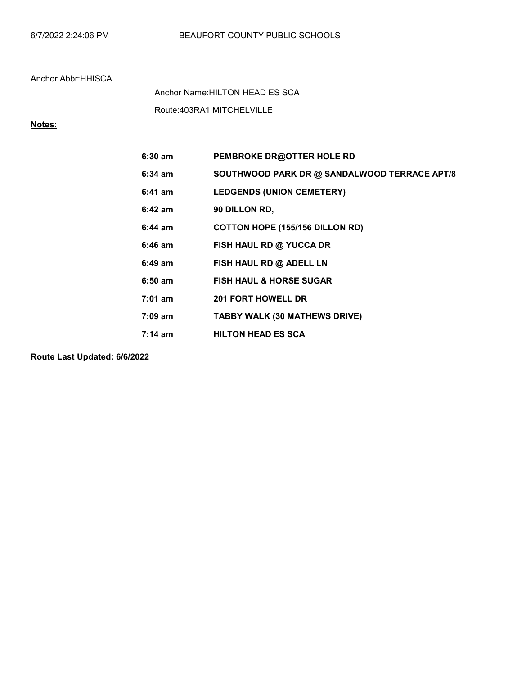Route:403RA1 MITCHELVILLE Anchor Name:HILTON HEAD ES SCA

# Notes:

| $6:30$ am         | PEMBROKE DR@OTTER HOLE RD                    |
|-------------------|----------------------------------------------|
| $6:34$ am         | SOUTHWOOD PARK DR @ SANDALWOOD TERRACE APT/8 |
| $6:41$ am         | <b>LEDGENDS (UNION CEMETERY)</b>             |
| $6:42$ am         | 90 DILLON RD,                                |
| $6:44 \text{ am}$ | COTTON HOPE (155/156 DILLON RD)              |
| $6:46$ am         | FISH HAUL RD @ YUCCA DR                      |
| $6:49$ am         | FISH HAUL RD @ ADELL LN                      |
| $6:50$ am         | <b>FISH HAUL &amp; HORSE SUGAR</b>           |
| $7:01$ am         | <b>201 FORT HOWELL DR</b>                    |
| $7:09 \text{ am}$ | <b>TABBY WALK (30 MATHEWS DRIVE)</b>         |
| $7:14 \text{ am}$ | <b>HILTON HEAD ES SCA</b>                    |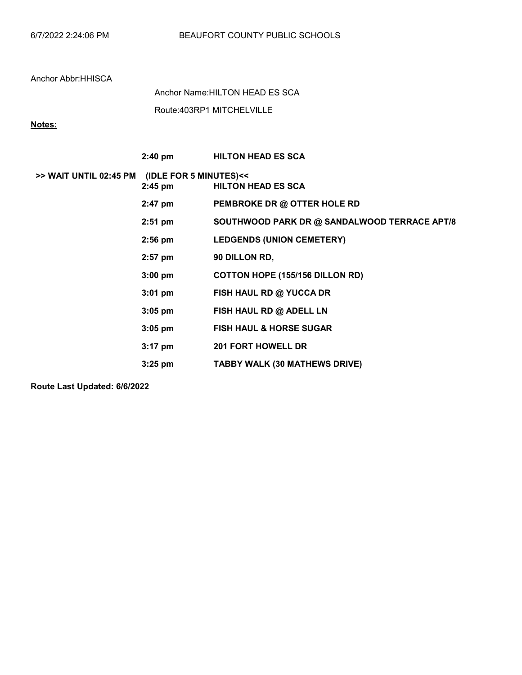Route:403RP1 MITCHELVILLE Anchor Name:HILTON HEAD ES SCA

## Notes:

|                                               | $2:40$ pm | <b>HILTON HEAD ES SCA</b>                    |
|-----------------------------------------------|-----------|----------------------------------------------|
| >> WAIT UNTIL 02:45 PM (IDLE FOR 5 MINUTES)<< | $2:45$ pm | <b>HILTON HEAD ES SCA</b>                    |
|                                               | $2:47$ pm | PEMBROKE DR @ OTTER HOLE RD                  |
|                                               | $2:51$ pm | SOUTHWOOD PARK DR @ SANDALWOOD TERRACE APT/8 |
|                                               | $2:56$ pm | <b>LEDGENDS (UNION CEMETERY)</b>             |
|                                               | $2:57$ pm | 90 DILLON RD,                                |
|                                               | $3:00$ pm | <b>COTTON HOPE (155/156 DILLON RD)</b>       |
|                                               | $3:01$ pm | FISH HAUL RD @ YUCCA DR                      |
|                                               | $3:05$ pm | FISH HAUL RD @ ADELL LN                      |
|                                               | $3:05$ pm | <b>FISH HAUL &amp; HORSE SUGAR</b>           |
|                                               | $3:17$ pm | <b>201 FORT HOWELL DR</b>                    |
|                                               | $3:25$ pm | TABBY WALK (30 MATHEWS DRIVE)                |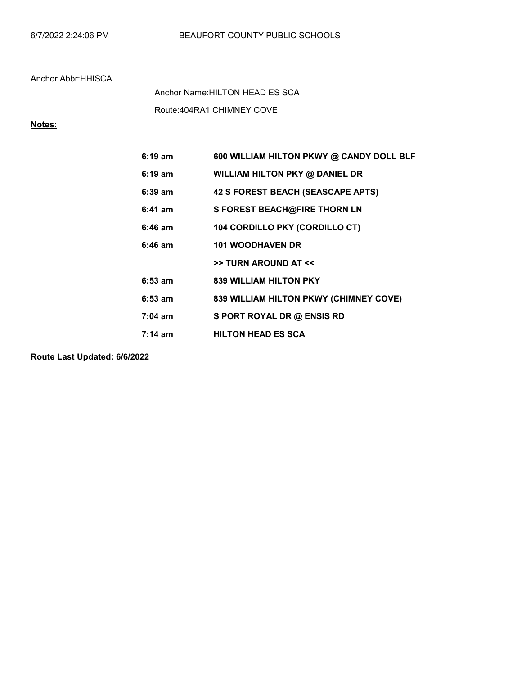Route:404RA1 CHIMNEY COVE Anchor Name:HILTON HEAD ES SCA

## Notes:

| $6:19 \text{ am}$ | 600 WILLIAM HILTON PKWY @ CANDY DOLL BLF |
|-------------------|------------------------------------------|
| $6:19 \text{ am}$ | WILLIAM HILTON PKY @ DANIEL DR           |
| $6:39$ am         | 42 S FOREST BEACH (SEASCAPE APTS)        |
| $6:41$ am         | S FOREST BEACH@FIRE THORN LN             |
| $6:46$ am         | 104 CORDILLO PKY (CORDILLO CT)           |
| 6:46 am           | <b>101 WOODHAVEN DR</b>                  |
|                   | >> TURN AROUND AT <<                     |
| $6:53$ am         | <b>839 WILLIAM HILTON PKY</b>            |
| $6:53$ am         | 839 WILLIAM HILTON PKWY (CHIMNEY COVE)   |
| $7:04$ am         | S PORT ROYAL DR @ ENSIS RD               |
| $7:14 \text{ am}$ | <b>HILTON HEAD ES SCA</b>                |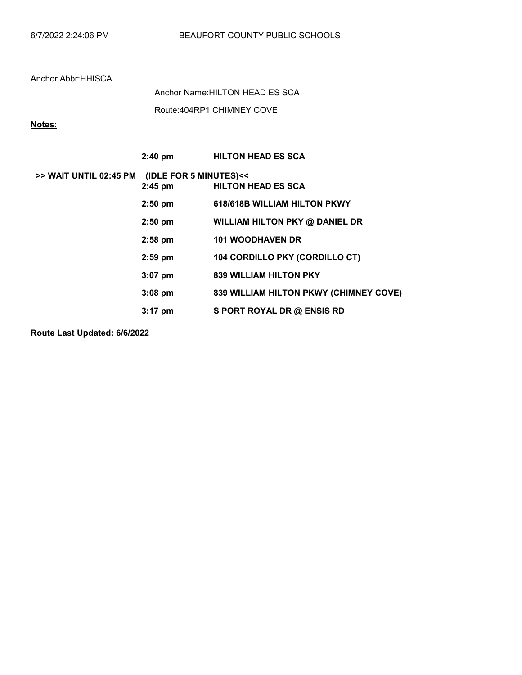Route:404RP1 CHIMNEY COVE Anchor Name:HILTON HEAD ES SCA

#### Notes:

|                        | $2:40 \text{ pm}$                   | <b>HILTON HEAD ES SCA</b>              |
|------------------------|-------------------------------------|----------------------------------------|
| >> WAIT UNTIL 02:45 PM | (IDLE FOR 5 MINUTES)<<<br>$2:45$ pm | <b>HILTON HEAD ES SCA</b>              |
|                        | $2:50$ pm                           | 618/618B WILLIAM HILTON PKWY           |
|                        | $2:50$ pm                           | WILLIAM HILTON PKY @ DANIEL DR         |
|                        | $2:58$ pm                           | <b>101 WOODHAVEN DR</b>                |
|                        | $2:59$ pm                           | <b>104 CORDILLO PKY (CORDILLO CT)</b>  |
|                        | $3:07$ pm                           | <b>839 WILLIAM HILTON PKY</b>          |
|                        | $3:08$ pm                           | 839 WILLIAM HILTON PKWY (CHIMNEY COVE) |
|                        | $3:17$ pm                           | S PORT ROYAL DR @ ENSIS RD             |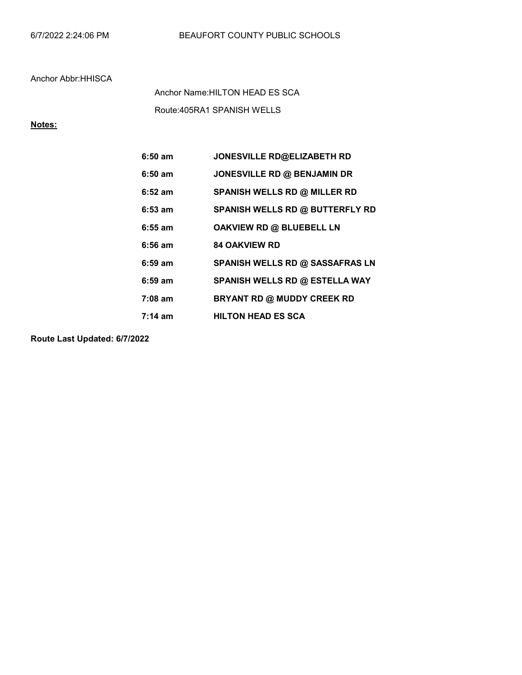Route:405RA1 SPANISH WELLS Anchor Name:HILTON HEAD ES SCA

Notes:

| $6:50$ am | JONESVILLE RD@ELIZABETH RD          |
|-----------|-------------------------------------|
| $6:50$ am | JONESVILLE RD @ BENJAMIN DR         |
| $6:52$ am | <b>SPANISH WELLS RD @ MILLER RD</b> |
| $6:53$ am | SPANISH WELLS RD @ BUTTERFLY RD     |
| $6:55$ am | OAKVIEW RD @ BLUEBELL LN            |
| $6:56$ am | <b>84 OAKVIEW RD</b>                |
|           |                                     |
| $6:59$ am | SPANISH WELLS RD @ SASSAFRAS LN     |
| $6:59$ am | SPANISH WELLS RD @ ESTELLA WAY      |
| $7:08$ am | BRYANT RD @ MUDDY CREEK RD          |